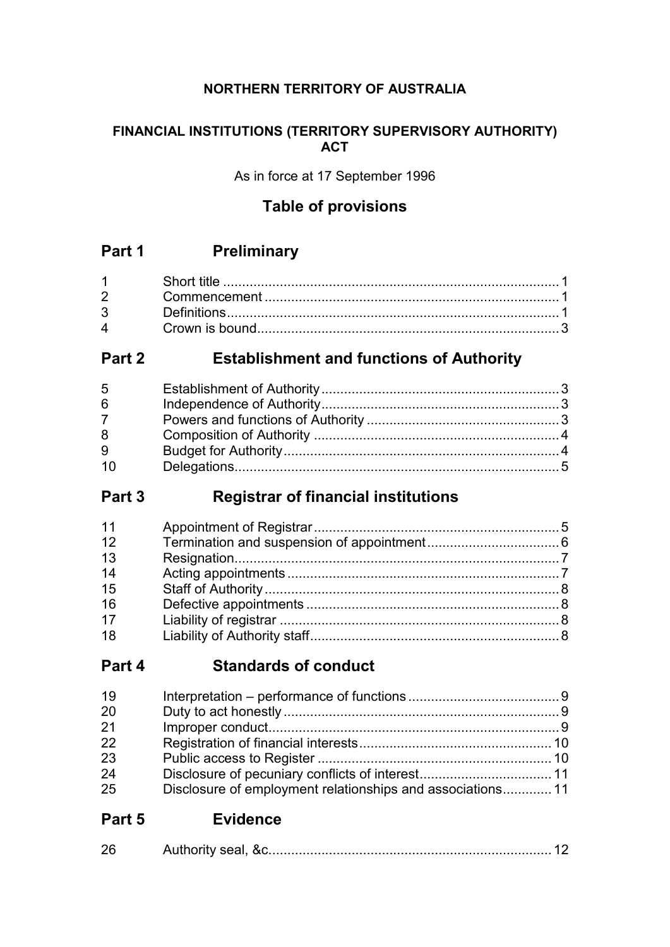## **NORTHERN TERRITORY OF AUSTRALIA**

### **FINANCIAL INSTITUTIONS (TERRITORY SUPERVISORY AUTHORITY) ACT**

As in force at 17 September 1996

## **Table of provisions**

## **Part 1 Preliminary**

| $1 \quad \blacksquare$ |  |
|------------------------|--|
| $2^{\sim}$             |  |
| $3^{\circ}$            |  |
| $\mathbf{\Delta}$      |  |

## **Part 2 Establishment and functions of Authority**

| 5  |  |
|----|--|
| 6  |  |
|    |  |
| 8  |  |
| 9  |  |
| 10 |  |

## **Part 3 Registrar of financial institutions**

| 11 |  |
|----|--|
| 12 |  |
| 13 |  |
| 14 |  |
| 15 |  |
| 16 |  |
| 17 |  |
| 18 |  |
|    |  |

## **Part 4 Standards of conduct**

| 19 |                                                            |  |
|----|------------------------------------------------------------|--|
| 20 |                                                            |  |
| 21 |                                                            |  |
| 22 |                                                            |  |
| 23 |                                                            |  |
| 24 |                                                            |  |
| 25 | Disclosure of employment relationships and associations 11 |  |

## **Part 5 Evidence**

| $\sim$ | ادمع یراthoritu |  |  |
|--------|-----------------|--|--|
|--------|-----------------|--|--|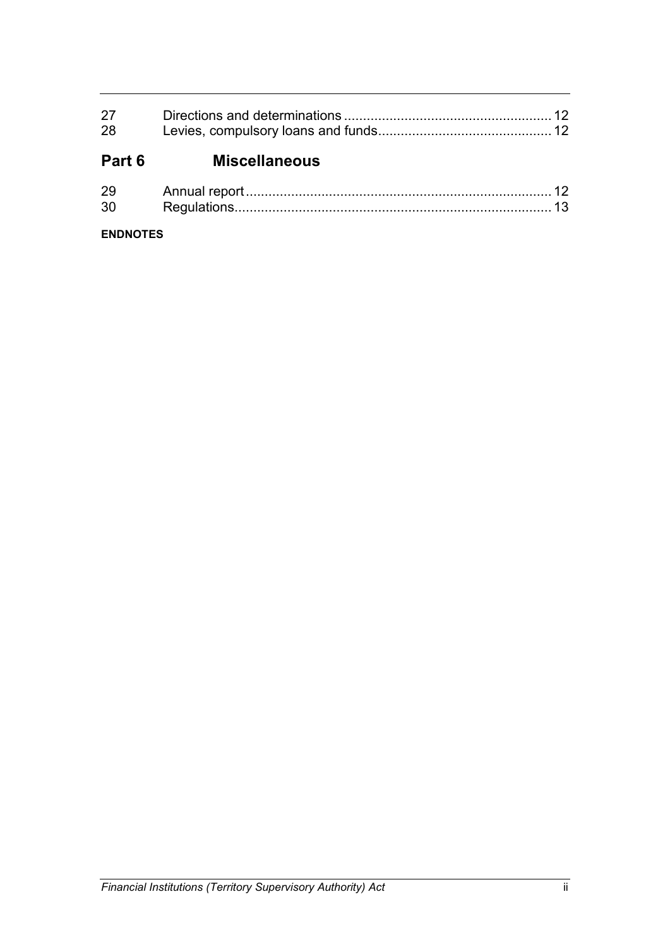| 28 |  |
|----|--|

# **Part 6 Miscellaneous**

| റ∟  |  |
|-----|--|
| -21 |  |

### **ENDNOTES**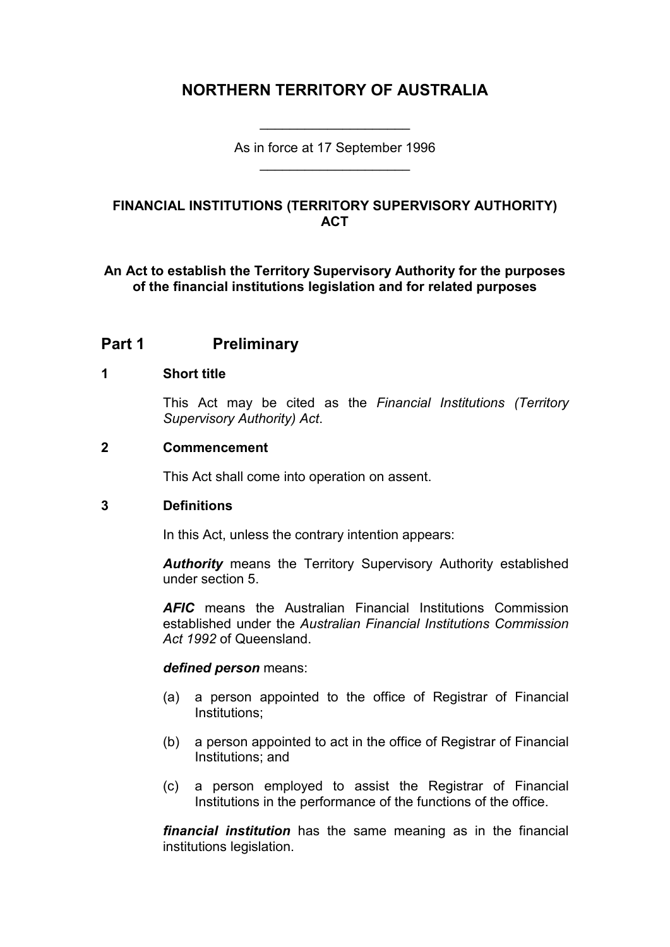## **NORTHERN TERRITORY OF AUSTRALIA**

As in force at 17 September 1996 \_\_\_\_\_\_\_\_\_\_\_\_\_\_\_\_\_\_\_\_

\_\_\_\_\_\_\_\_\_\_\_\_\_\_\_\_\_\_\_\_

### **FINANCIAL INSTITUTIONS (TERRITORY SUPERVISORY AUTHORITY) ACT**

**An Act to establish the Territory Supervisory Authority for the purposes of the financial institutions legislation and for related purposes**

## **Part 1 Preliminary**

#### **1 Short title**

This Act may be cited as the *Financial Institutions (Territory Supervisory Authority) Act*.

#### **2 Commencement**

This Act shall come into operation on assent.

#### **3 Definitions**

In this Act, unless the contrary intention appears:

*Authority* means the Territory Supervisory Authority established under section 5.

*AFIC* means the Australian Financial Institutions Commission established under the *Australian Financial Institutions Commission Act 1992* of Queensland.

#### *defined person* means:

- (a) a person appointed to the office of Registrar of Financial Institutions;
- (b) a person appointed to act in the office of Registrar of Financial Institutions; and
- (c) a person employed to assist the Registrar of Financial Institutions in the performance of the functions of the office.

*financial institution* has the same meaning as in the financial institutions legislation.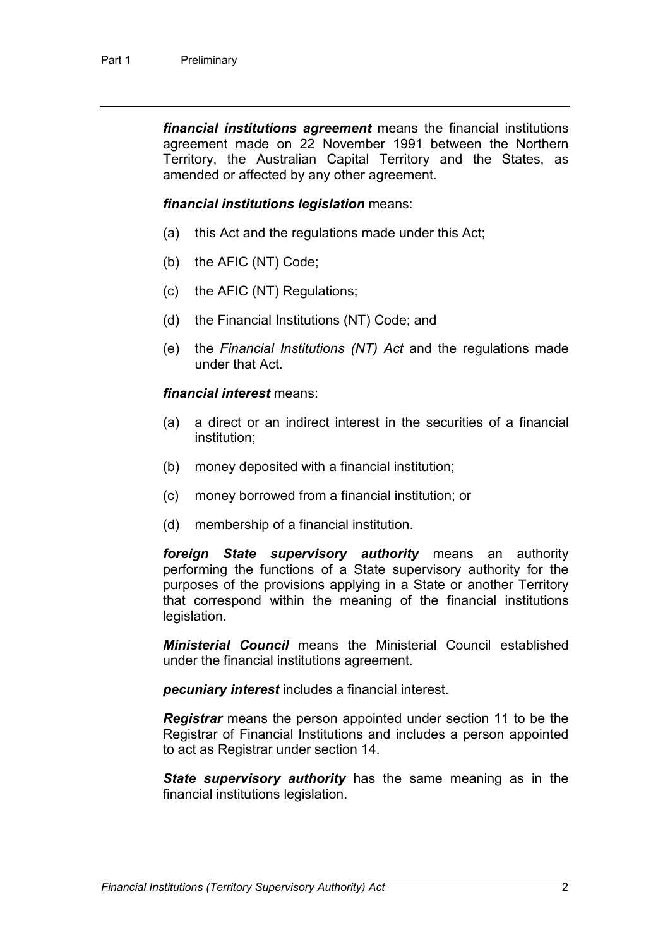*financial institutions agreement* means the financial institutions agreement made on 22 November 1991 between the Northern Territory, the Australian Capital Territory and the States, as amended or affected by any other agreement.

#### *financial institutions legislation* means:

- (a) this Act and the regulations made under this Act;
- (b) the AFIC (NT) Code;
- (c) the AFIC (NT) Regulations;
- (d) the Financial Institutions (NT) Code; and
- (e) the *Financial Institutions (NT) Act* and the regulations made under that Act.

#### *financial interest* means:

- (a) a direct or an indirect interest in the securities of a financial institution;
- (b) money deposited with a financial institution;
- (c) money borrowed from a financial institution; or
- (d) membership of a financial institution.

*foreign State supervisory authority* means an authority performing the functions of a State supervisory authority for the purposes of the provisions applying in a State or another Territory that correspond within the meaning of the financial institutions legislation.

*Ministerial Council* means the Ministerial Council established under the financial institutions agreement.

*pecuniary interest* includes a financial interest.

*Registrar* means the person appointed under section 11 to be the Registrar of Financial Institutions and includes a person appointed to act as Registrar under section 14.

*State supervisory authority* has the same meaning as in the financial institutions legislation.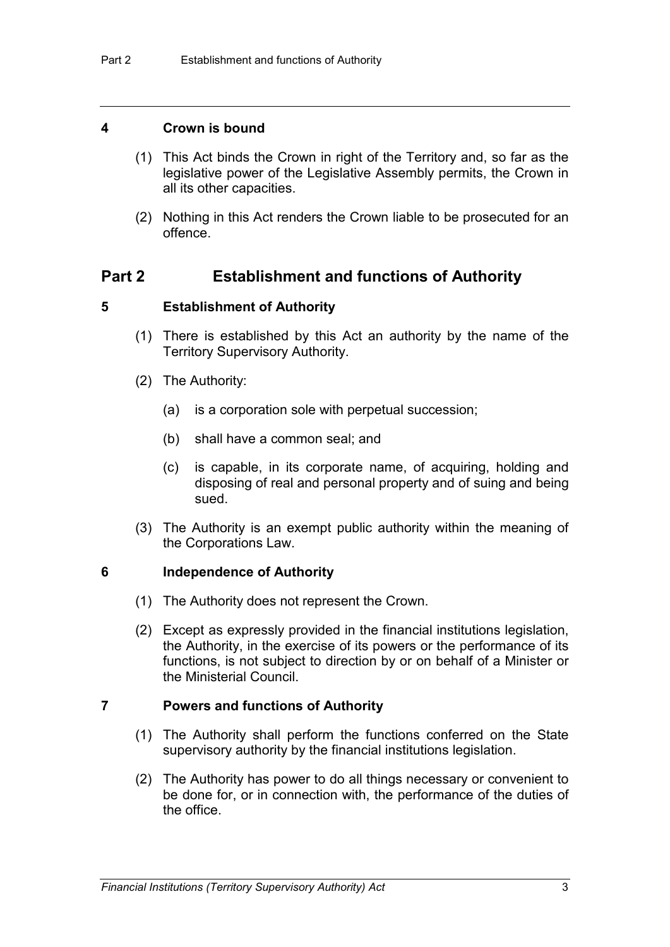#### **4 Crown is bound**

- (1) This Act binds the Crown in right of the Territory and, so far as the legislative power of the Legislative Assembly permits, the Crown in all its other capacities.
- (2) Nothing in this Act renders the Crown liable to be prosecuted for an offence.

### **Part 2 Establishment and functions of Authority**

#### **5 Establishment of Authority**

- (1) There is established by this Act an authority by the name of the Territory Supervisory Authority.
- (2) The Authority:
	- (a) is a corporation sole with perpetual succession;
	- (b) shall have a common seal; and
	- (c) is capable, in its corporate name, of acquiring, holding and disposing of real and personal property and of suing and being sued.
- (3) The Authority is an exempt public authority within the meaning of the Corporations Law.

#### **6 Independence of Authority**

- (1) The Authority does not represent the Crown.
- (2) Except as expressly provided in the financial institutions legislation, the Authority, in the exercise of its powers or the performance of its functions, is not subject to direction by or on behalf of a Minister or the Ministerial Council.

#### **7 Powers and functions of Authority**

- (1) The Authority shall perform the functions conferred on the State supervisory authority by the financial institutions legislation.
- (2) The Authority has power to do all things necessary or convenient to be done for, or in connection with, the performance of the duties of the office.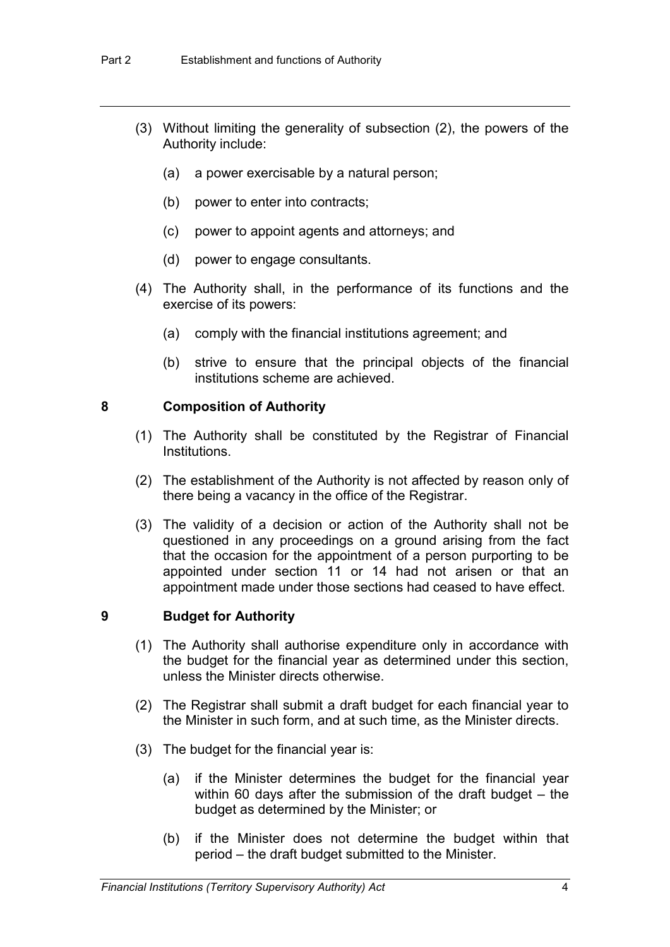- (3) Without limiting the generality of subsection (2), the powers of the Authority include:
	- (a) a power exercisable by a natural person;
	- (b) power to enter into contracts;
	- (c) power to appoint agents and attorneys; and
	- (d) power to engage consultants.
- (4) The Authority shall, in the performance of its functions and the exercise of its powers:
	- (a) comply with the financial institutions agreement; and
	- (b) strive to ensure that the principal objects of the financial institutions scheme are achieved.

### **8 Composition of Authority**

- (1) The Authority shall be constituted by the Registrar of Financial Institutions.
- (2) The establishment of the Authority is not affected by reason only of there being a vacancy in the office of the Registrar.
- (3) The validity of a decision or action of the Authority shall not be questioned in any proceedings on a ground arising from the fact that the occasion for the appointment of a person purporting to be appointed under section 11 or 14 had not arisen or that an appointment made under those sections had ceased to have effect.

### **9 Budget for Authority**

- (1) The Authority shall authorise expenditure only in accordance with the budget for the financial year as determined under this section, unless the Minister directs otherwise.
- (2) The Registrar shall submit a draft budget for each financial year to the Minister in such form, and at such time, as the Minister directs.
- (3) The budget for the financial year is:
	- (a) if the Minister determines the budget for the financial year within 60 days after the submission of the draft budget – the budget as determined by the Minister; or
	- (b) if the Minister does not determine the budget within that period – the draft budget submitted to the Minister.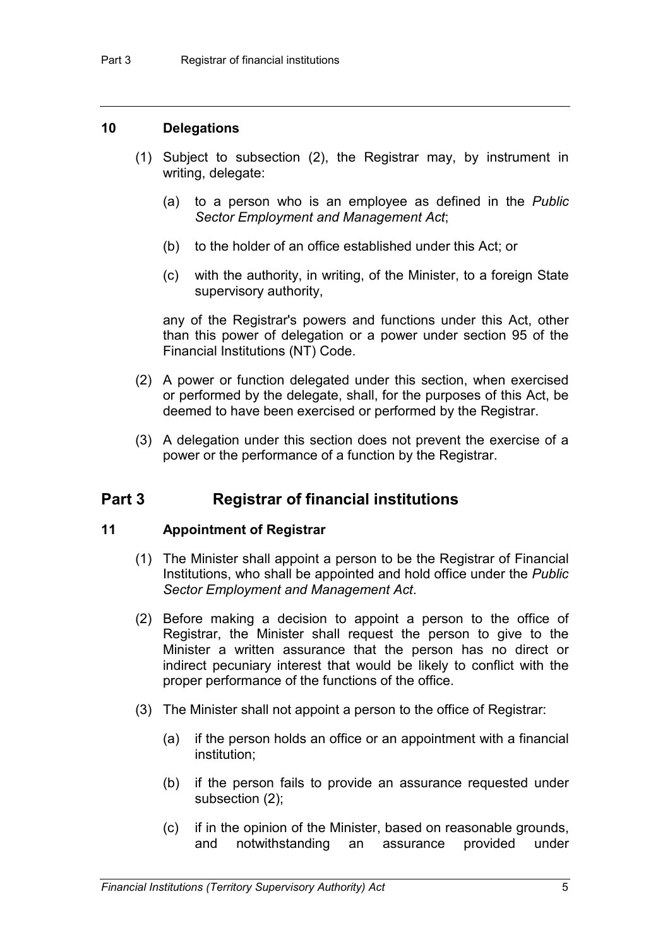#### **10 Delegations**

- (1) Subject to subsection (2), the Registrar may, by instrument in writing, delegate:
	- (a) to a person who is an employee as defined in the *Public Sector Employment and Management Act*;
	- (b) to the holder of an office established under this Act; or
	- (c) with the authority, in writing, of the Minister, to a foreign State supervisory authority,

any of the Registrar's powers and functions under this Act, other than this power of delegation or a power under section 95 of the Financial Institutions (NT) Code.

- (2) A power or function delegated under this section, when exercised or performed by the delegate, shall, for the purposes of this Act, be deemed to have been exercised or performed by the Registrar.
- (3) A delegation under this section does not prevent the exercise of a power or the performance of a function by the Registrar.

## **Part 3 Registrar of financial institutions**

#### **11 Appointment of Registrar**

- (1) The Minister shall appoint a person to be the Registrar of Financial Institutions, who shall be appointed and hold office under the *Public Sector Employment and Management Act*.
- (2) Before making a decision to appoint a person to the office of Registrar, the Minister shall request the person to give to the Minister a written assurance that the person has no direct or indirect pecuniary interest that would be likely to conflict with the proper performance of the functions of the office.
- (3) The Minister shall not appoint a person to the office of Registrar:
	- (a) if the person holds an office or an appointment with a financial institution;
	- (b) if the person fails to provide an assurance requested under subsection (2);
	- (c) if in the opinion of the Minister, based on reasonable grounds, and notwithstanding an assurance provided under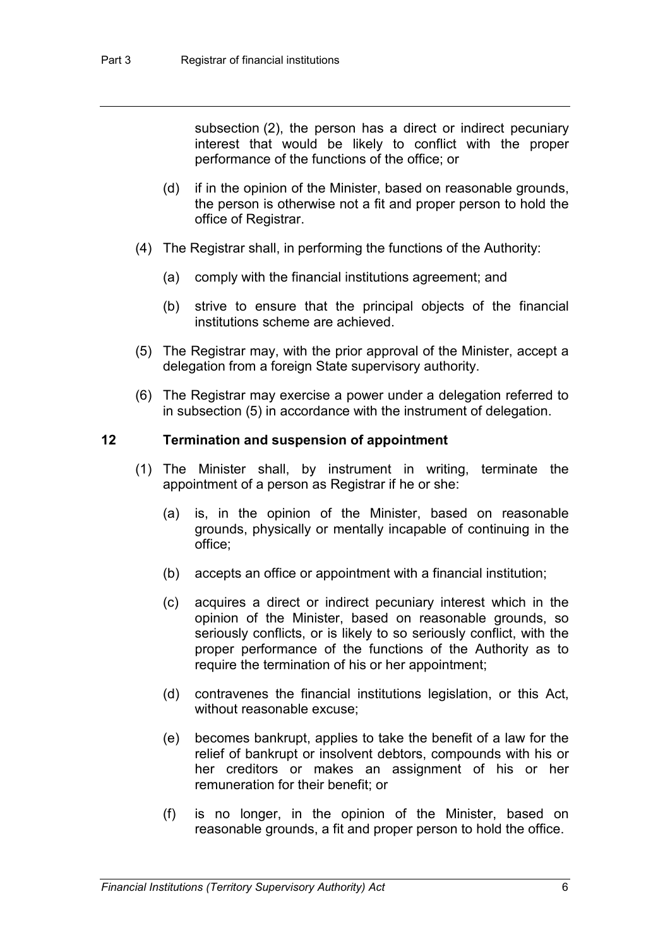subsection (2), the person has a direct or indirect pecuniary interest that would be likely to conflict with the proper performance of the functions of the office; or

- (d) if in the opinion of the Minister, based on reasonable grounds, the person is otherwise not a fit and proper person to hold the office of Registrar.
- (4) The Registrar shall, in performing the functions of the Authority:
	- (a) comply with the financial institutions agreement; and
	- (b) strive to ensure that the principal objects of the financial institutions scheme are achieved.
- (5) The Registrar may, with the prior approval of the Minister, accept a delegation from a foreign State supervisory authority.
- (6) The Registrar may exercise a power under a delegation referred to in subsection (5) in accordance with the instrument of delegation.

#### **12 Termination and suspension of appointment**

- (1) The Minister shall, by instrument in writing, terminate the appointment of a person as Registrar if he or she:
	- (a) is, in the opinion of the Minister, based on reasonable grounds, physically or mentally incapable of continuing in the office;
	- (b) accepts an office or appointment with a financial institution;
	- (c) acquires a direct or indirect pecuniary interest which in the opinion of the Minister, based on reasonable grounds, so seriously conflicts, or is likely to so seriously conflict, with the proper performance of the functions of the Authority as to require the termination of his or her appointment;
	- (d) contravenes the financial institutions legislation, or this Act, without reasonable excuse;
	- (e) becomes bankrupt, applies to take the benefit of a law for the relief of bankrupt or insolvent debtors, compounds with his or her creditors or makes an assignment of his or her remuneration for their benefit; or
	- (f) is no longer, in the opinion of the Minister, based on reasonable grounds, a fit and proper person to hold the office.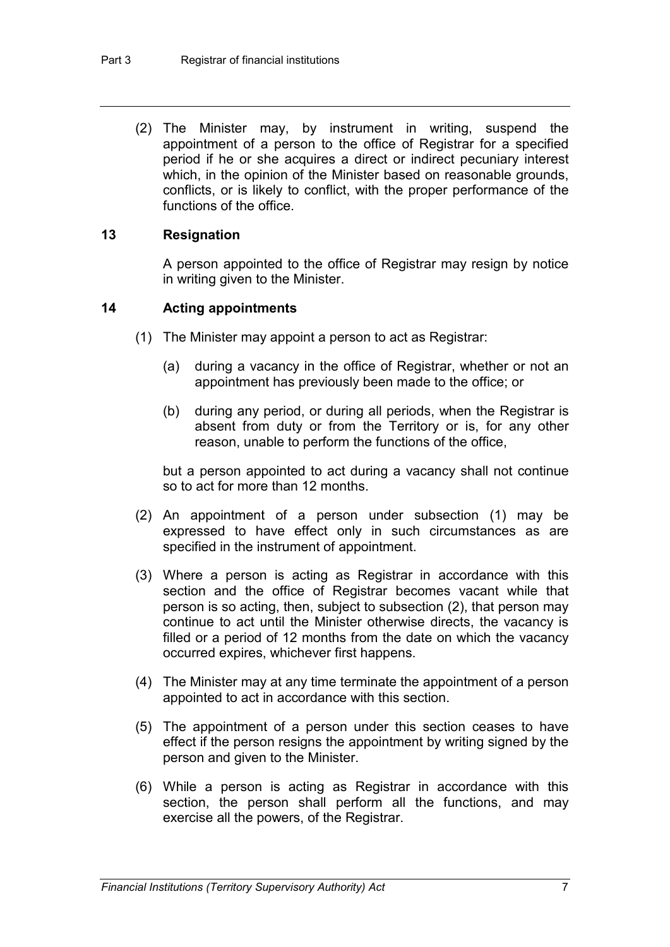(2) The Minister may, by instrument in writing, suspend the appointment of a person to the office of Registrar for a specified period if he or she acquires a direct or indirect pecuniary interest which, in the opinion of the Minister based on reasonable grounds, conflicts, or is likely to conflict, with the proper performance of the functions of the office.

#### **13 Resignation**

A person appointed to the office of Registrar may resign by notice in writing given to the Minister.

#### **14 Acting appointments**

- (1) The Minister may appoint a person to act as Registrar:
	- (a) during a vacancy in the office of Registrar, whether or not an appointment has previously been made to the office; or
	- (b) during any period, or during all periods, when the Registrar is absent from duty or from the Territory or is, for any other reason, unable to perform the functions of the office,

but a person appointed to act during a vacancy shall not continue so to act for more than 12 months.

- (2) An appointment of a person under subsection (1) may be expressed to have effect only in such circumstances as are specified in the instrument of appointment.
- (3) Where a person is acting as Registrar in accordance with this section and the office of Registrar becomes vacant while that person is so acting, then, subject to subsection (2), that person may continue to act until the Minister otherwise directs, the vacancy is filled or a period of 12 months from the date on which the vacancy occurred expires, whichever first happens.
- (4) The Minister may at any time terminate the appointment of a person appointed to act in accordance with this section.
- (5) The appointment of a person under this section ceases to have effect if the person resigns the appointment by writing signed by the person and given to the Minister.
- (6) While a person is acting as Registrar in accordance with this section, the person shall perform all the functions, and may exercise all the powers, of the Registrar.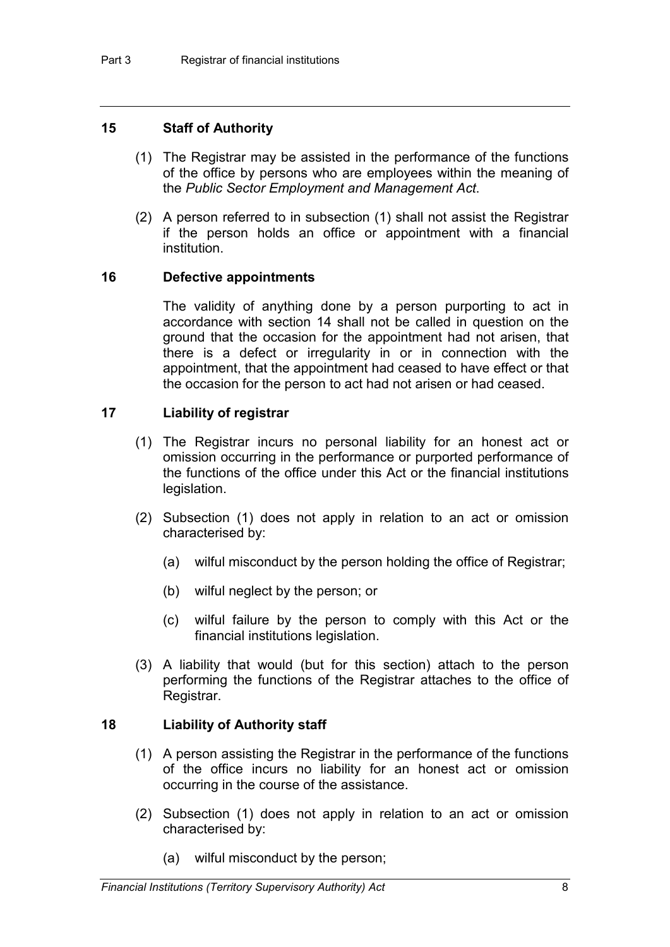#### **15 Staff of Authority**

- (1) The Registrar may be assisted in the performance of the functions of the office by persons who are employees within the meaning of the *Public Sector Employment and Management Act*.
- (2) A person referred to in subsection (1) shall not assist the Registrar if the person holds an office or appointment with a financial institution.

#### **16 Defective appointments**

The validity of anything done by a person purporting to act in accordance with section 14 shall not be called in question on the ground that the occasion for the appointment had not arisen, that there is a defect or irregularity in or in connection with the appointment, that the appointment had ceased to have effect or that the occasion for the person to act had not arisen or had ceased.

### **17 Liability of registrar**

- (1) The Registrar incurs no personal liability for an honest act or omission occurring in the performance or purported performance of the functions of the office under this Act or the financial institutions legislation.
- (2) Subsection (1) does not apply in relation to an act or omission characterised by:
	- (a) wilful misconduct by the person holding the office of Registrar;
	- (b) wilful neglect by the person; or
	- (c) wilful failure by the person to comply with this Act or the financial institutions legislation.
- (3) A liability that would (but for this section) attach to the person performing the functions of the Registrar attaches to the office of Registrar.

#### **18 Liability of Authority staff**

- (1) A person assisting the Registrar in the performance of the functions of the office incurs no liability for an honest act or omission occurring in the course of the assistance.
- (2) Subsection (1) does not apply in relation to an act or omission characterised by:
	- (a) wilful misconduct by the person;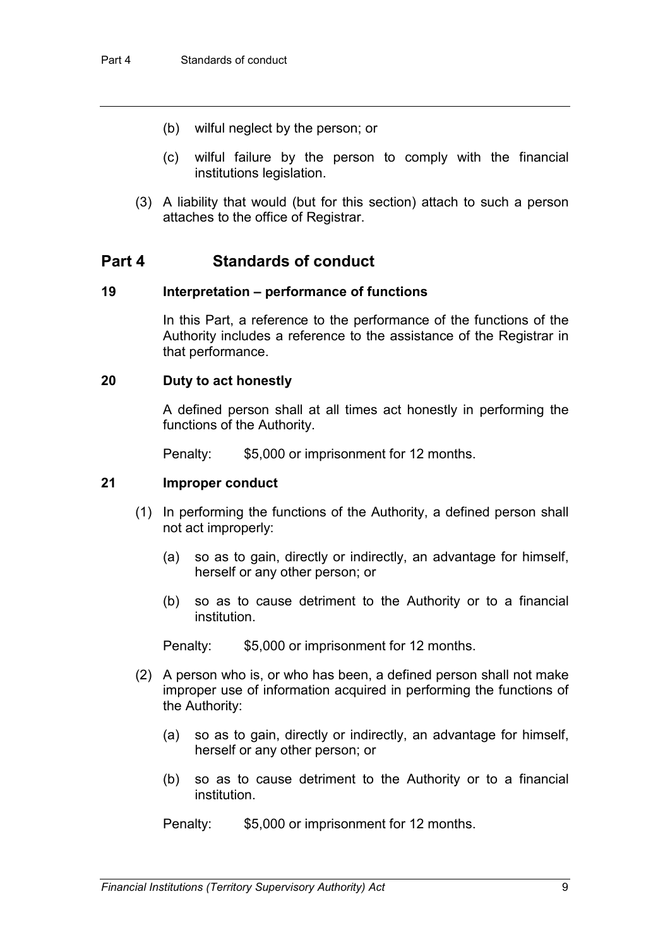- (b) wilful neglect by the person; or
- (c) wilful failure by the person to comply with the financial institutions legislation.
- (3) A liability that would (but for this section) attach to such a person attaches to the office of Registrar.

### **Part 4 Standards of conduct**

#### **19 Interpretation – performance of functions**

In this Part, a reference to the performance of the functions of the Authority includes a reference to the assistance of the Registrar in that performance.

#### **20 Duty to act honestly**

A defined person shall at all times act honestly in performing the functions of the Authority.

Penalty: \$5,000 or imprisonment for 12 months.

#### **21 Improper conduct**

- (1) In performing the functions of the Authority, a defined person shall not act improperly:
	- (a) so as to gain, directly or indirectly, an advantage for himself, herself or any other person; or
	- (b) so as to cause detriment to the Authority or to a financial institution.

Penalty: \$5,000 or imprisonment for 12 months.

- (2) A person who is, or who has been, a defined person shall not make improper use of information acquired in performing the functions of the Authority:
	- (a) so as to gain, directly or indirectly, an advantage for himself, herself or any other person; or
	- (b) so as to cause detriment to the Authority or to a financial institution.

Penalty: \$5,000 or imprisonment for 12 months.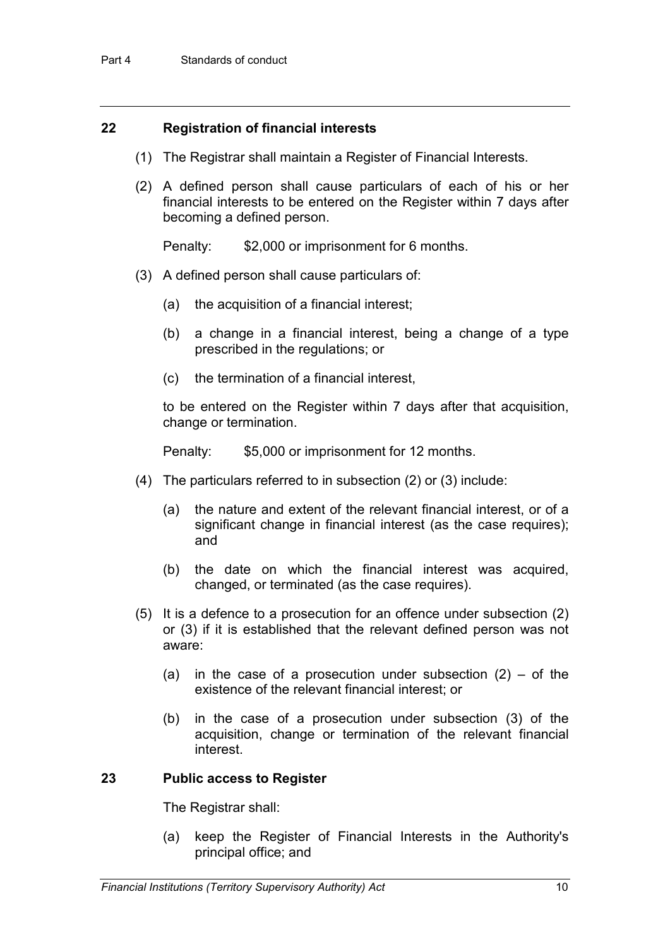#### **22 Registration of financial interests**

- (1) The Registrar shall maintain a Register of Financial Interests.
- (2) A defined person shall cause particulars of each of his or her financial interests to be entered on the Register within 7 days after becoming a defined person.

Penalty: \$2,000 or imprisonment for 6 months.

- (3) A defined person shall cause particulars of:
	- (a) the acquisition of a financial interest;
	- (b) a change in a financial interest, being a change of a type prescribed in the regulations; or
	- (c) the termination of a financial interest,

to be entered on the Register within 7 days after that acquisition, change or termination.

Penalty: \$5,000 or imprisonment for 12 months.

- (4) The particulars referred to in subsection (2) or (3) include:
	- (a) the nature and extent of the relevant financial interest, or of a significant change in financial interest (as the case requires); and
	- (b) the date on which the financial interest was acquired, changed, or terminated (as the case requires).
- (5) It is a defence to a prosecution for an offence under subsection (2) or (3) if it is established that the relevant defined person was not aware:
	- (a) in the case of a prosecution under subsection  $(2)$  of the existence of the relevant financial interest; or
	- (b) in the case of a prosecution under subsection (3) of the acquisition, change or termination of the relevant financial interest.

#### **23 Public access to Register**

The Registrar shall:

(a) keep the Register of Financial Interests in the Authority's principal office; and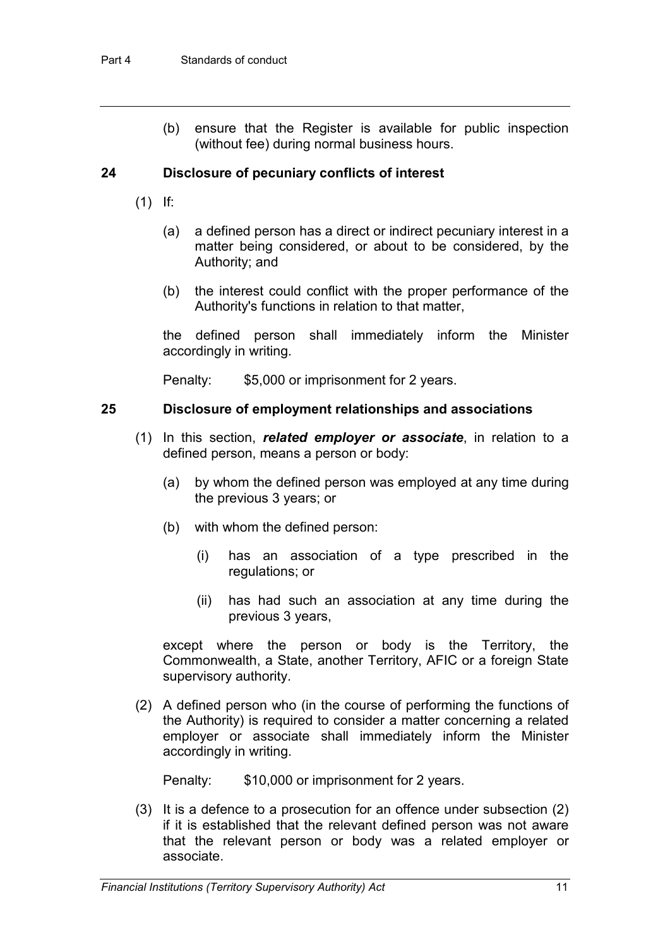(b) ensure that the Register is available for public inspection (without fee) during normal business hours.

### **24 Disclosure of pecuniary conflicts of interest**

- (1) If:
	- (a) a defined person has a direct or indirect pecuniary interest in a matter being considered, or about to be considered, by the Authority; and
	- (b) the interest could conflict with the proper performance of the Authority's functions in relation to that matter,

the defined person shall immediately inform the Minister accordingly in writing.

Penalty: \$5,000 or imprisonment for 2 years.

#### **25 Disclosure of employment relationships and associations**

- (1) In this section, *related employer or associate*, in relation to a defined person, means a person or body:
	- (a) by whom the defined person was employed at any time during the previous 3 years; or
	- (b) with whom the defined person:
		- (i) has an association of a type prescribed in the regulations; or
		- (ii) has had such an association at any time during the previous 3 years,

except where the person or body is the Territory, the Commonwealth, a State, another Territory, AFIC or a foreign State supervisory authority.

(2) A defined person who (in the course of performing the functions of the Authority) is required to consider a matter concerning a related employer or associate shall immediately inform the Minister accordingly in writing.

Penalty: \$10,000 or imprisonment for 2 years.

(3) It is a defence to a prosecution for an offence under subsection (2) if it is established that the relevant defined person was not aware that the relevant person or body was a related employer or associate.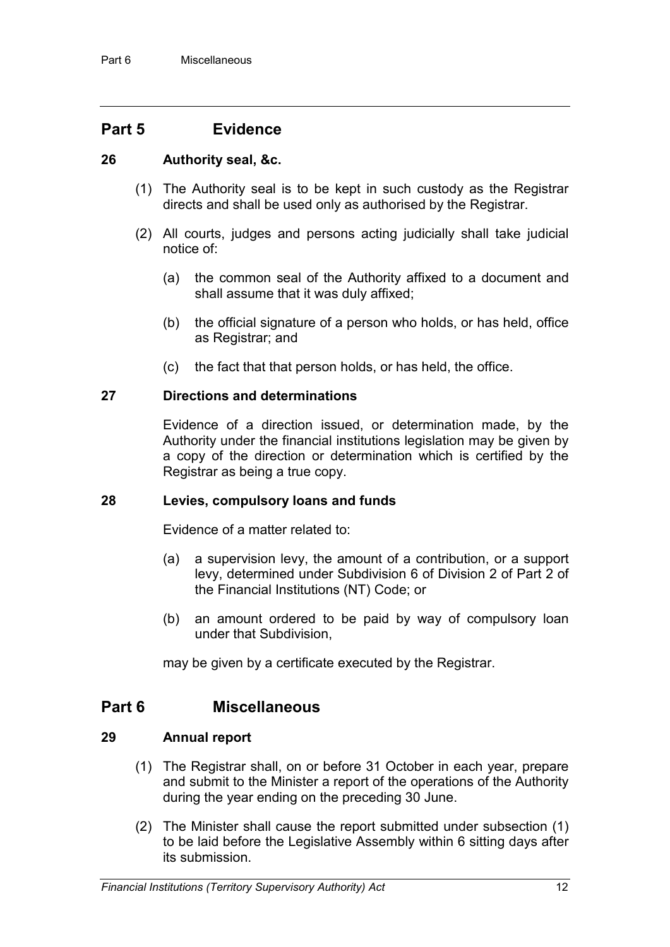## **Part 5 Evidence**

### **26 Authority seal, &c.**

- (1) The Authority seal is to be kept in such custody as the Registrar directs and shall be used only as authorised by the Registrar.
- (2) All courts, judges and persons acting judicially shall take judicial notice of:
	- (a) the common seal of the Authority affixed to a document and shall assume that it was duly affixed;
	- (b) the official signature of a person who holds, or has held, office as Registrar; and
	- (c) the fact that that person holds, or has held, the office.

#### **27 Directions and determinations**

Evidence of a direction issued, or determination made, by the Authority under the financial institutions legislation may be given by a copy of the direction or determination which is certified by the Registrar as being a true copy.

#### **28 Levies, compulsory loans and funds**

Evidence of a matter related to:

- (a) a supervision levy, the amount of a contribution, or a support levy, determined under Subdivision 6 of Division 2 of Part 2 of the Financial Institutions (NT) Code; or
- (b) an amount ordered to be paid by way of compulsory loan under that Subdivision,

may be given by a certificate executed by the Registrar.

### **Part 6 Miscellaneous**

#### **29 Annual report**

- (1) The Registrar shall, on or before 31 October in each year, prepare and submit to the Minister a report of the operations of the Authority during the year ending on the preceding 30 June.
- (2) The Minister shall cause the report submitted under subsection (1) to be laid before the Legislative Assembly within 6 sitting days after its submission.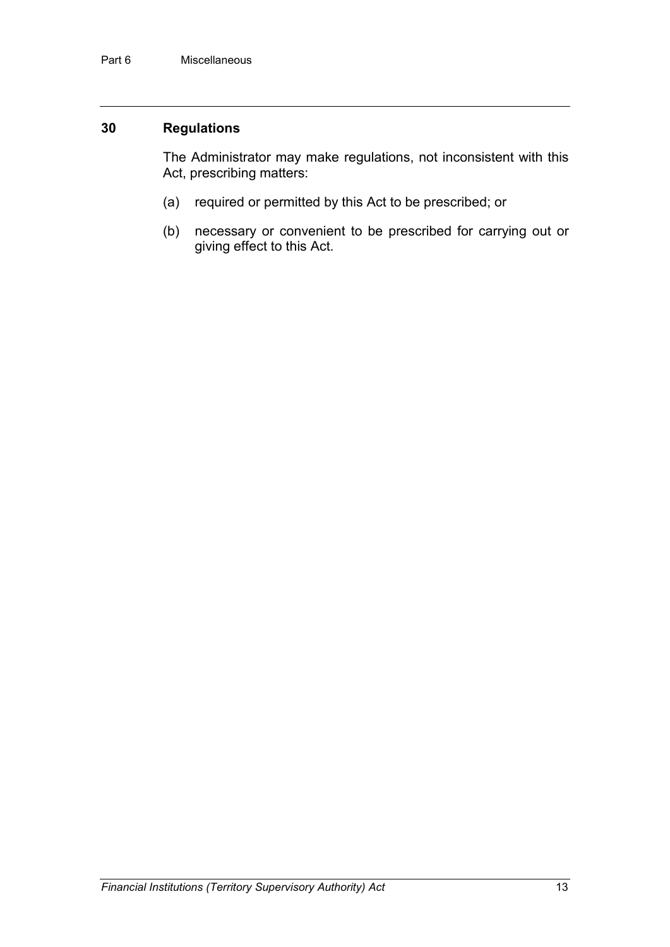### **30 Regulations**

The Administrator may make regulations, not inconsistent with this Act, prescribing matters:

- (a) required or permitted by this Act to be prescribed; or
- (b) necessary or convenient to be prescribed for carrying out or giving effect to this Act.